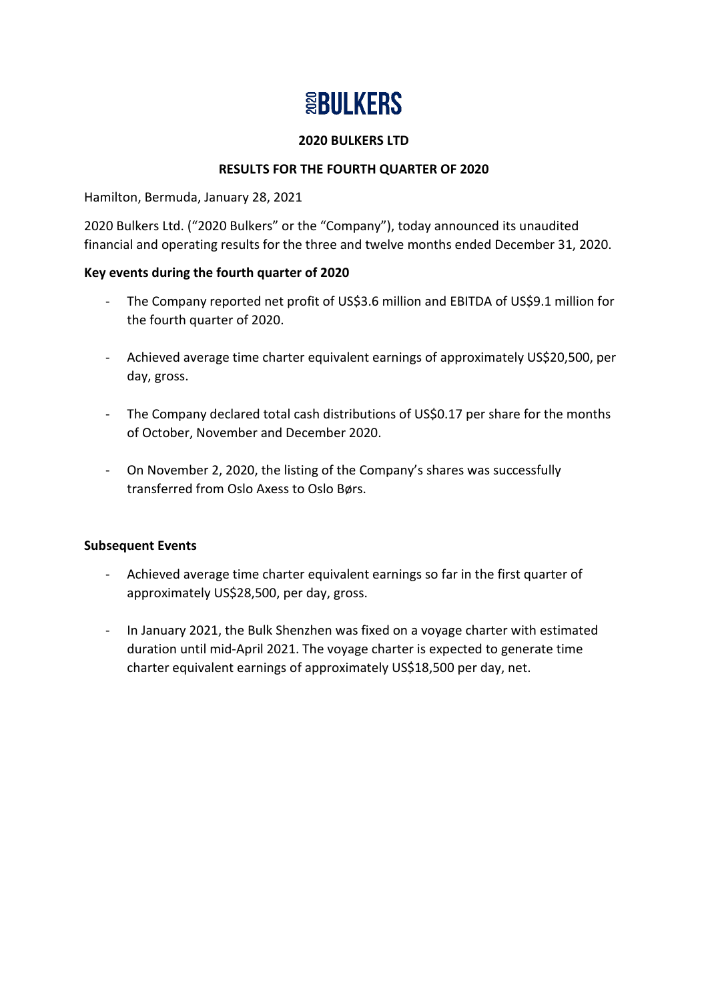# **SBULKERS**

#### **2020 BULKERS LTD**

# **RESULTS FOR THE FOURTH QUARTER OF 2020**

Hamilton, Bermuda, January 28, 2021

2020 Bulkers Ltd. ("2020 Bulkers" or the "Company"), today announced its unaudited financial and operating results for the three and twelve months ended December 31, 2020.

# **Key events during the fourth quarter of 2020**

- The Company reported net profit of US\$3.6 million and EBITDA of US\$9.1 million for the fourth quarter of 2020.
- Achieved average time charter equivalent earnings of approximately US\$20,500, per day, gross.
- The Company declared total cash distributions of US\$0.17 per share for the months of October, November and December 2020.
- On November 2, 2020, the listing of the Company's shares was successfully transferred from Oslo Axess to Oslo Børs.

# **Subsequent Events**

- Achieved average time charter equivalent earnings so far in the first quarter of approximately US\$28,500, per day, gross.
- In January 2021, the Bulk Shenzhen was fixed on a voyage charter with estimated duration until mid-April 2021. The voyage charter is expected to generate time charter equivalent earnings of approximately US\$18,500 per day, net.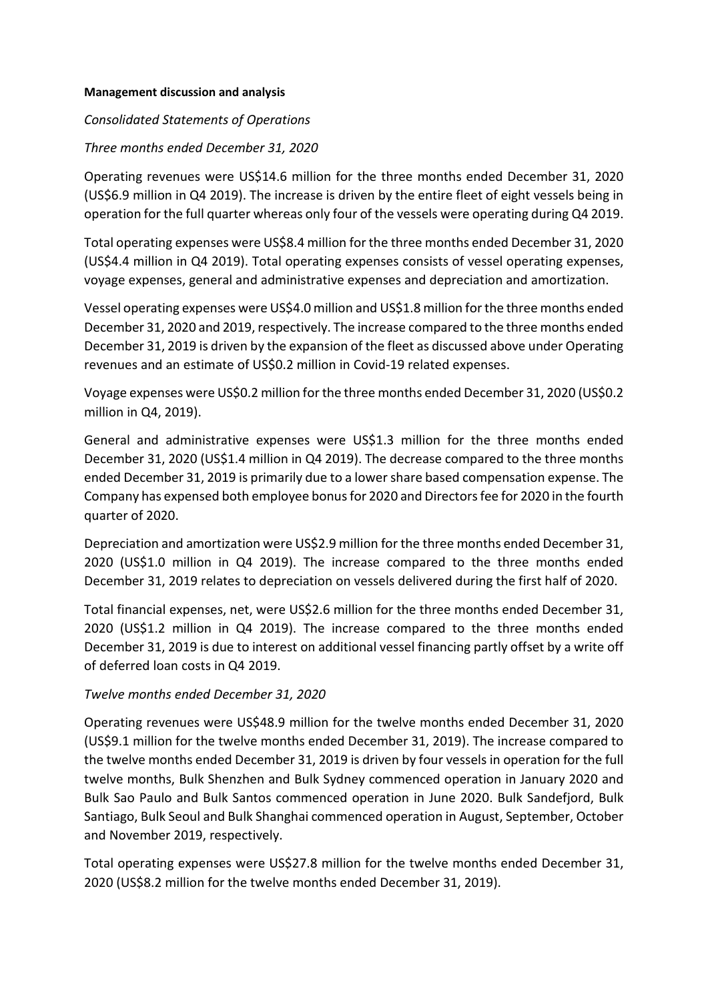#### **Management discussion and analysis**

#### *Consolidated Statements of Operations*

#### *Three months ended December 31, 2020*

Operating revenues were US\$14.6 million for the three months ended December 31, 2020 (US\$6.9 million in Q4 2019). The increase is driven by the entire fleet of eight vessels being in operation for the full quarter whereas only four of the vessels were operating during Q4 2019.

Total operating expenses were US\$8.4 million for the three months ended December 31, 2020 (US\$4.4 million in Q4 2019). Total operating expenses consists of vessel operating expenses, voyage expenses, general and administrative expenses and depreciation and amortization.

Vessel operating expenses were US\$4.0 million and US\$1.8 million for the three months ended December 31, 2020 and 2019, respectively. The increase compared to the three months ended December 31, 2019 is driven by the expansion of the fleet as discussed above under Operating revenues and an estimate of US\$0.2 million in Covid-19 related expenses.

Voyage expenses were US\$0.2 million for the three months ended December 31, 2020 (US\$0.2 million in Q4, 2019).

General and administrative expenses were US\$1.3 million for the three months ended December 31, 2020 (US\$1.4 million in Q4 2019). The decrease compared to the three months ended December 31, 2019 is primarily due to a lower share based compensation expense. The Company has expensed both employee bonusfor 2020 and Directors fee for 2020 in the fourth quarter of 2020.

Depreciation and amortization were US\$2.9 million for the three months ended December 31, 2020 (US\$1.0 million in Q4 2019). The increase compared to the three months ended December 31, 2019 relates to depreciation on vessels delivered during the first half of 2020.

Total financial expenses, net, were US\$2.6 million for the three months ended December 31, 2020 (US\$1.2 million in Q4 2019). The increase compared to the three months ended December 31, 2019 is due to interest on additional vessel financing partly offset by a write off of deferred loan costs in Q4 2019.

#### *Twelve months ended December 31, 2020*

Operating revenues were US\$48.9 million for the twelve months ended December 31, 2020 (US\$9.1 million for the twelve months ended December 31, 2019). The increase compared to the twelve months ended December 31, 2019 is driven by four vessels in operation for the full twelve months, Bulk Shenzhen and Bulk Sydney commenced operation in January 2020 and Bulk Sao Paulo and Bulk Santos commenced operation in June 2020. Bulk Sandefjord, Bulk Santiago, Bulk Seoul and Bulk Shanghai commenced operation in August, September, October and November 2019, respectively.

Total operating expenses were US\$27.8 million for the twelve months ended December 31, 2020 (US\$8.2 million for the twelve months ended December 31, 2019).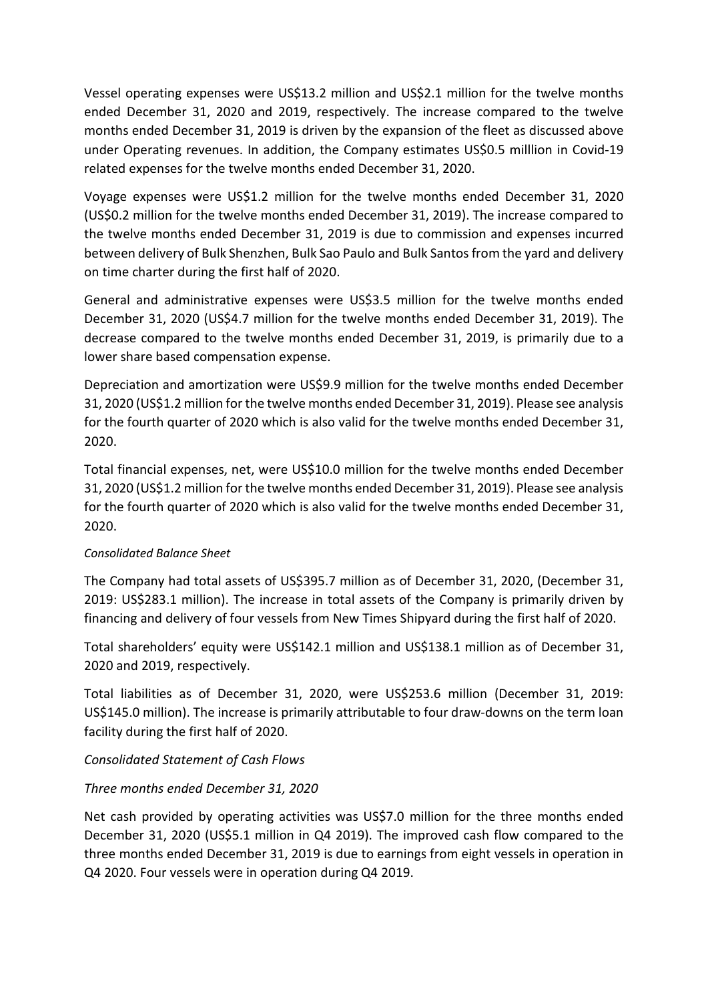Vessel operating expenses were US\$13.2 million and US\$2.1 million for the twelve months ended December 31, 2020 and 2019, respectively. The increase compared to the twelve months ended December 31, 2019 is driven by the expansion of the fleet as discussed above under Operating revenues. In addition, the Company estimates US\$0.5 milllion in Covid-19 related expenses for the twelve months ended December 31, 2020.

Voyage expenses were US\$1.2 million for the twelve months ended December 31, 2020 (US\$0.2 million for the twelve months ended December 31, 2019). The increase compared to the twelve months ended December 31, 2019 is due to commission and expenses incurred between delivery of Bulk Shenzhen, Bulk Sao Paulo and Bulk Santos from the yard and delivery on time charter during the first half of 2020.

General and administrative expenses were US\$3.5 million for the twelve months ended December 31, 2020 (US\$4.7 million for the twelve months ended December 31, 2019). The decrease compared to the twelve months ended December 31, 2019, is primarily due to a lower share based compensation expense.

Depreciation and amortization were US\$9.9 million for the twelve months ended December 31, 2020 (US\$1.2 million for the twelve months ended December 31, 2019). Please see analysis for the fourth quarter of 2020 which is also valid for the twelve months ended December 31, 2020.

Total financial expenses, net, were US\$10.0 million for the twelve months ended December 31, 2020 (US\$1.2 million forthe twelve months ended December 31, 2019). Please see analysis for the fourth quarter of 2020 which is also valid for the twelve months ended December 31, 2020.

# *Consolidated Balance Sheet*

The Company had total assets of US\$395.7 million as of December 31, 2020, (December 31, 2019: US\$283.1 million). The increase in total assets of the Company is primarily driven by financing and delivery of four vessels from New Times Shipyard during the first half of 2020.

Total shareholders' equity were US\$142.1 million and US\$138.1 million as of December 31, 2020 and 2019, respectively.

Total liabilities as of December 31, 2020, were US\$253.6 million (December 31, 2019: US\$145.0 million). The increase is primarily attributable to four draw-downs on the term loan facility during the first half of 2020.

# *Consolidated Statement of Cash Flows*

# *Three months ended December 31, 2020*

Net cash provided by operating activities was US\$7.0 million for the three months ended December 31, 2020 (US\$5.1 million in Q4 2019). The improved cash flow compared to the three months ended December 31, 2019 is due to earnings from eight vessels in operation in Q4 2020. Four vessels were in operation during Q4 2019.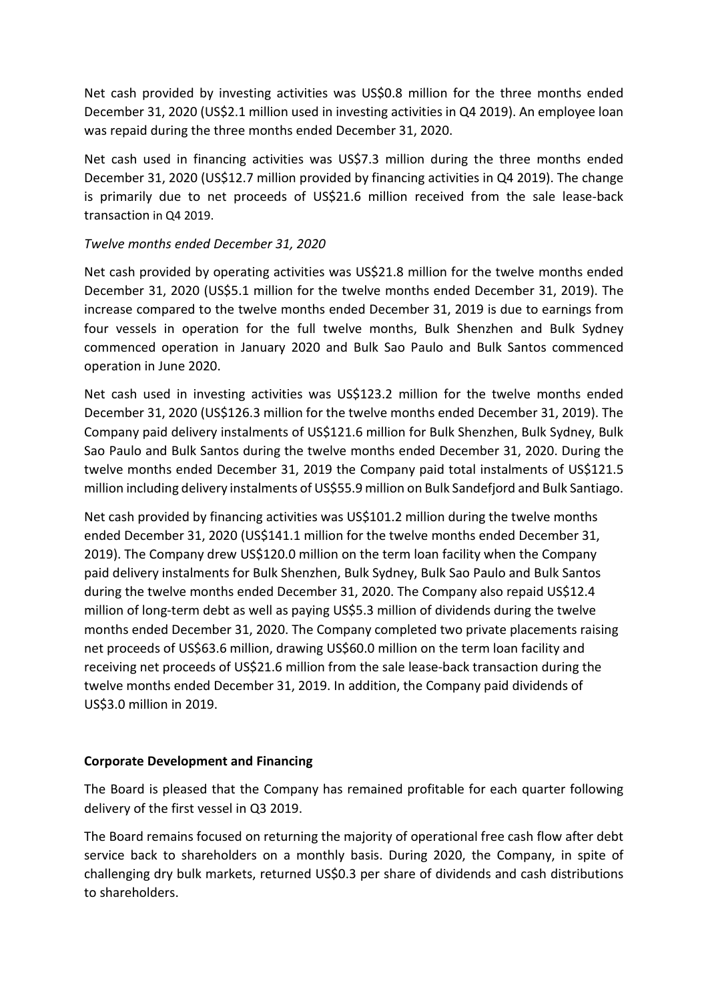Net cash provided by investing activities was US\$0.8 million for the three months ended December 31, 2020 (US\$2.1 million used in investing activities in Q4 2019). An employee loan was repaid during the three months ended December 31, 2020.

Net cash used in financing activities was US\$7.3 million during the three months ended December 31, 2020 (US\$12.7 million provided by financing activities in Q4 2019). The change is primarily due to net proceeds of US\$21.6 million received from the sale lease-back transaction in Q4 2019.

# *Twelve months ended December 31, 2020*

Net cash provided by operating activities was US\$21.8 million for the twelve months ended December 31, 2020 (US\$5.1 million for the twelve months ended December 31, 2019). The increase compared to the twelve months ended December 31, 2019 is due to earnings from four vessels in operation for the full twelve months, Bulk Shenzhen and Bulk Sydney commenced operation in January 2020 and Bulk Sao Paulo and Bulk Santos commenced operation in June 2020.

Net cash used in investing activities was US\$123.2 million for the twelve months ended December 31, 2020 (US\$126.3 million for the twelve months ended December 31, 2019). The Company paid delivery instalments of US\$121.6 million for Bulk Shenzhen, Bulk Sydney, Bulk Sao Paulo and Bulk Santos during the twelve months ended December 31, 2020. During the twelve months ended December 31, 2019 the Company paid total instalments of US\$121.5 million including delivery instalments of US\$55.9 million on Bulk Sandefjord and Bulk Santiago.

Net cash provided by financing activities was US\$101.2 million during the twelve months ended December 31, 2020 (US\$141.1 million for the twelve months ended December 31, 2019). The Company drew US\$120.0 million on the term loan facility when the Company paid delivery instalments for Bulk Shenzhen, Bulk Sydney, Bulk Sao Paulo and Bulk Santos during the twelve months ended December 31, 2020. The Company also repaid US\$12.4 million of long-term debt as well as paying US\$5.3 million of dividends during the twelve months ended December 31, 2020. The Company completed two private placements raising net proceeds of US\$63.6 million, drawing US\$60.0 million on the term loan facility and receiving net proceeds of US\$21.6 million from the sale lease-back transaction during the twelve months ended December 31, 2019. In addition, the Company paid dividends of US\$3.0 million in 2019.

# **Corporate Development and Financing**

The Board is pleased that the Company has remained profitable for each quarter following delivery of the first vessel in Q3 2019.

The Board remains focused on returning the majority of operational free cash flow after debt service back to shareholders on a monthly basis. During 2020, the Company, in spite of challenging dry bulk markets, returned US\$0.3 per share of dividends and cash distributions to shareholders.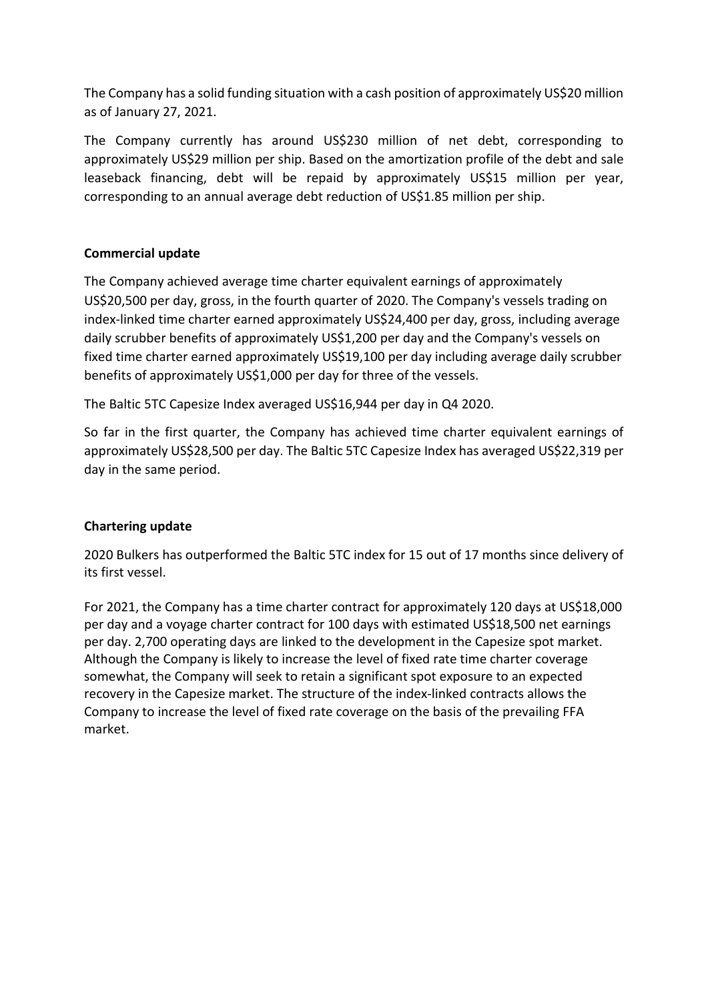The Company has a solid funding situation with a cash position of approximately US\$20 million as of January 27, 2021.

The Company currently has around US\$230 million of net debt, corresponding to approximately US\$29 million per ship. Based on the amortization profile of the debt and sale leaseback financing, debt will be repaid by approximately US\$15 million per year, corresponding to an annual average debt reduction of US\$1.85 million per ship.

# **Commercial update**

The Company achieved average time charter equivalent earnings of approximately US\$20,500 per day, gross, in the fourth quarter of 2020. The Company's vessels trading on index-linked time charter earned approximately US\$24,400 per day, gross, including average daily scrubber benefits of approximately US\$1,200 per day and the Company's vessels on fixed time charter earned approximately US\$19,100 per day including average daily scrubber benefits of approximately US\$1,000 per day for three of the vessels.

The Baltic 5TC Capesize Index averaged US\$16,944 per day in Q4 2020.

So far in the first quarter, the Company has achieved time charter equivalent earnings of approximately US\$28,500 per day. The Baltic 5TC Capesize Index has averaged US\$22,319 per day in the same period.

# **Chartering update**

2020 Bulkers has outperformed the Baltic 5TC index for 15 out of 17 months since delivery of its first vessel.

For 2021, the Company has a time charter contract for approximately 120 days at US\$18,000 per day and a voyage charter contract for 100 days with estimated US\$18,500 net earnings per day. 2,700 operating days are linked to the development in the Capesize spot market. Although the Company is likely to increase the level of fixed rate time charter coverage somewhat, the Company will seek to retain a significant spot exposure to an expected recovery in the Capesize market. The structure of the index-linked contracts allows the Company to increase the level of fixed rate coverage on the basis of the prevailing FFA market.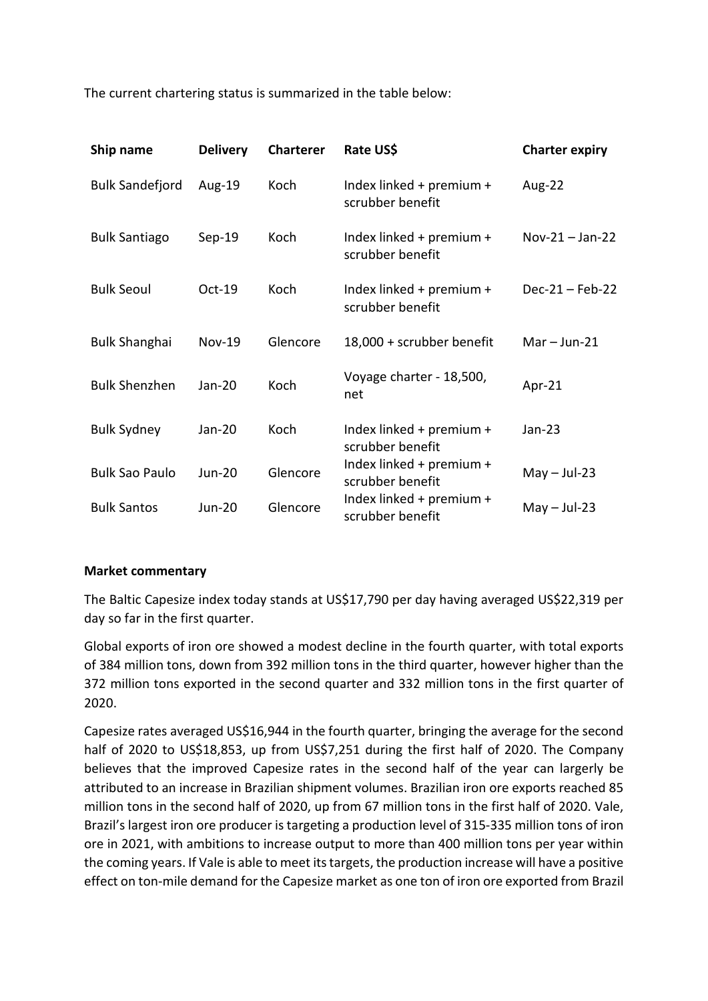The current chartering status is summarized in the table below:

| Ship name              | <b>Delivery</b> | <b>Charterer</b> | Rate US\$                                    | <b>Charter expiry</b> |
|------------------------|-----------------|------------------|----------------------------------------------|-----------------------|
| <b>Bulk Sandefjord</b> | Aug-19          | Koch             | Index linked + premium +<br>scrubber benefit | Aug-22                |
| <b>Bulk Santiago</b>   | $Sep-19$        | Koch             | Index linked + premium +<br>scrubber benefit | $Nov-21 - Jan-22$     |
| <b>Bulk Seoul</b>      | Oct-19          | Koch             | Index linked + premium +<br>scrubber benefit | $Dec-21 - Feb-22$     |
| <b>Bulk Shanghai</b>   | <b>Nov-19</b>   | Glencore         | 18,000 + scrubber benefit                    | $Mar - Jun-21$        |
| <b>Bulk Shenzhen</b>   | Jan-20          | Koch             | Voyage charter - 18,500,<br>net              | Apr-21                |
| <b>Bulk Sydney</b>     | Jan-20          | Koch             | Index linked + premium +<br>scrubber benefit | $Jan-23$              |
| <b>Bulk Sao Paulo</b>  | <b>Jun-20</b>   | Glencore         | Index linked + premium +<br>scrubber benefit | $May - Jul-23$        |
| <b>Bulk Santos</b>     | <b>Jun-20</b>   | Glencore         | Index linked + premium +<br>scrubber benefit | $May - Jul-23$        |

#### **Market commentary**

The Baltic Capesize index today stands at US\$17,790 per day having averaged US\$22,319 per day so far in the first quarter.

Global exports of iron ore showed a modest decline in the fourth quarter, with total exports of 384 million tons, down from 392 million tons in the third quarter, however higher than the 372 million tons exported in the second quarter and 332 million tons in the first quarter of 2020.

Capesize rates averaged US\$16,944 in the fourth quarter, bringing the average for the second half of 2020 to US\$18,853, up from US\$7,251 during the first half of 2020. The Company believes that the improved Capesize rates in the second half of the year can largerly be attributed to an increase in Brazilian shipment volumes. Brazilian iron ore exports reached 85 million tons in the second half of 2020, up from 67 million tons in the first half of 2020. Vale, Brazil's largest iron ore producer is targeting a production level of 315-335 million tons of iron ore in 2021, with ambitions to increase output to more than 400 million tons per year within the coming years. If Vale is able to meet its targets, the production increase will have a positive effect on ton-mile demand for the Capesize market as one ton of iron ore exported from Brazil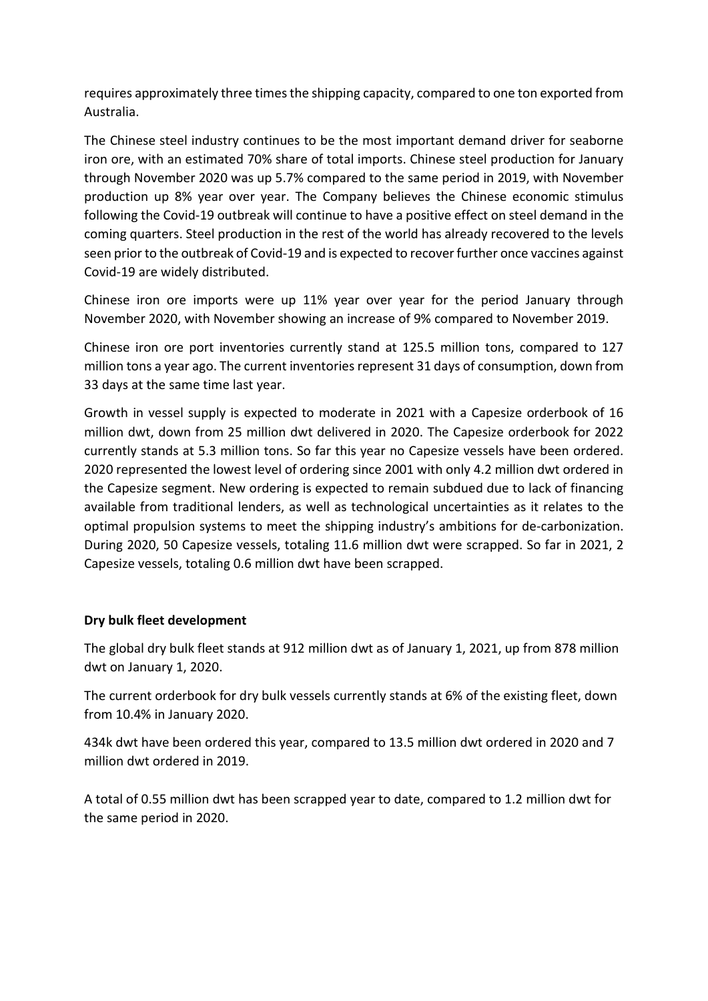requires approximately three times the shipping capacity, compared to one ton exported from Australia.

The Chinese steel industry continues to be the most important demand driver for seaborne iron ore, with an estimated 70% share of total imports. Chinese steel production for January through November 2020 was up 5.7% compared to the same period in 2019, with November production up 8% year over year. The Company believes the Chinese economic stimulus following the Covid-19 outbreak will continue to have a positive effect on steel demand in the coming quarters. Steel production in the rest of the world has already recovered to the levels seen prior to the outbreak of Covid-19 and is expected to recover further once vaccines against Covid-19 are widely distributed.

Chinese iron ore imports were up 11% year over year for the period January through November 2020, with November showing an increase of 9% compared to November 2019.

Chinese iron ore port inventories currently stand at 125.5 million tons, compared to 127 million tons a year ago. The current inventories represent 31 days of consumption, down from 33 days at the same time last year.

Growth in vessel supply is expected to moderate in 2021 with a Capesize orderbook of 16 million dwt, down from 25 million dwt delivered in 2020. The Capesize orderbook for 2022 currently stands at 5.3 million tons. So far this year no Capesize vessels have been ordered. 2020 represented the lowest level of ordering since 2001 with only 4.2 million dwt ordered in the Capesize segment. New ordering is expected to remain subdued due to lack of financing available from traditional lenders, as well as technological uncertainties as it relates to the optimal propulsion systems to meet the shipping industry's ambitions for de-carbonization. During 2020, 50 Capesize vessels, totaling 11.6 million dwt were scrapped. So far in 2021, 2 Capesize vessels, totaling 0.6 million dwt have been scrapped.

# **Dry bulk fleet development**

The global dry bulk fleet stands at 912 million dwt as of January 1, 2021, up from 878 million dwt on January 1, 2020.

The current orderbook for dry bulk vessels currently stands at 6% of the existing fleet, down from 10.4% in January 2020.

434k dwt have been ordered this year, compared to 13.5 million dwt ordered in 2020 and 7 million dwt ordered in 2019.

A total of 0.55 million dwt has been scrapped year to date, compared to 1.2 million dwt for the same period in 2020.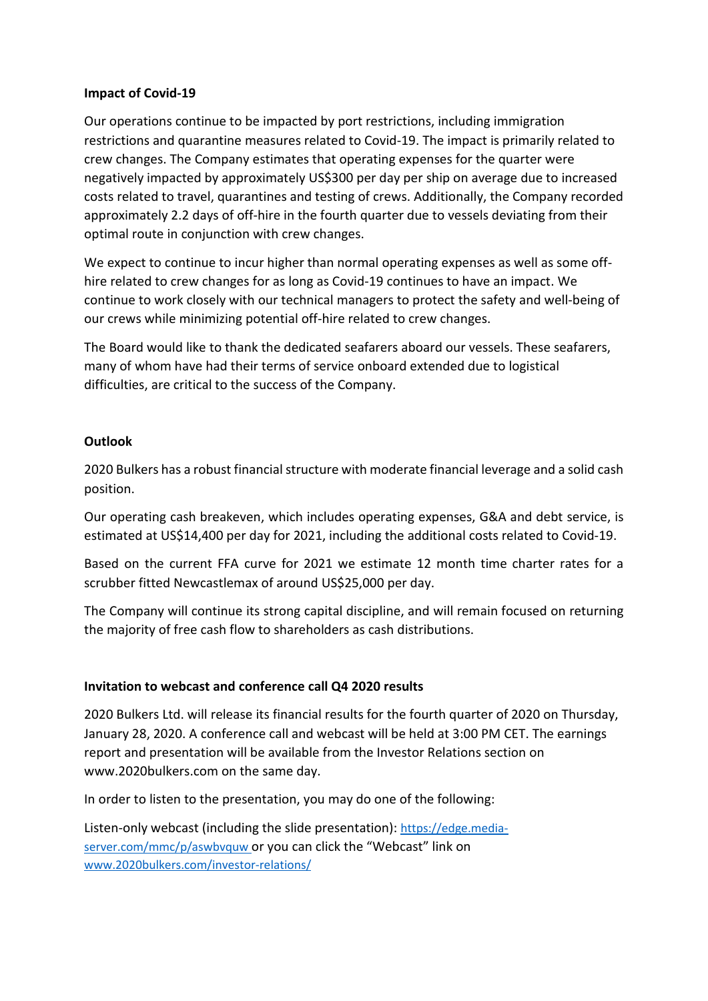#### **Impact of Covid-19**

Our operations continue to be impacted by port restrictions, including immigration restrictions and quarantine measures related to Covid-19. The impact is primarily related to crew changes. The Company estimates that operating expenses for the quarter were negatively impacted by approximately US\$300 per day per ship on average due to increased costs related to travel, quarantines and testing of crews. Additionally, the Company recorded approximately 2.2 days of off-hire in the fourth quarter due to vessels deviating from their optimal route in conjunction with crew changes.

We expect to continue to incur higher than normal operating expenses as well as some offhire related to crew changes for as long as Covid-19 continues to have an impact. We continue to work closely with our technical managers to protect the safety and well-being of our crews while minimizing potential off-hire related to crew changes.

The Board would like to thank the dedicated seafarers aboard our vessels. These seafarers, many of whom have had their terms of service onboard extended due to logistical difficulties, are critical to the success of the Company.

# **Outlook**

2020 Bulkers has a robust financial structure with moderate financial leverage and a solid cash position.

Our operating cash breakeven, which includes operating expenses, G&A and debt service, is estimated at US\$14,400 per day for 2021, including the additional costs related to Covid-19.

Based on the current FFA curve for 2021 we estimate 12 month time charter rates for a scrubber fitted Newcastlemax of around US\$25,000 per day.

The Company will continue its strong capital discipline, and will remain focused on returning the majority of free cash flow to shareholders as cash distributions.

#### **Invitation to webcast and conference call Q4 2020 results**

2020 Bulkers Ltd. will release its financial results for the fourth quarter of 2020 on Thursday, January 28, 2020. A conference call and webcast will be held at 3:00 PM CET. The earnings report and presentation will be available from the Investor Relations section on www.2020bulkers.com on the same day.

In order to listen to the presentation, you may do one of the following:

Listen-only webcast (including the slide presentation): [https://edge.media](https://edge.media-server.com/mmc/p/aswbvquw)[server.com/mmc/p/aswbvquw](https://edge.media-server.com/mmc/p/aswbvquw) or you can click the "Webcast" link on [www.2020bulkers.com/investor-relations/](http://www.2020bulkers.com/investor-relations/)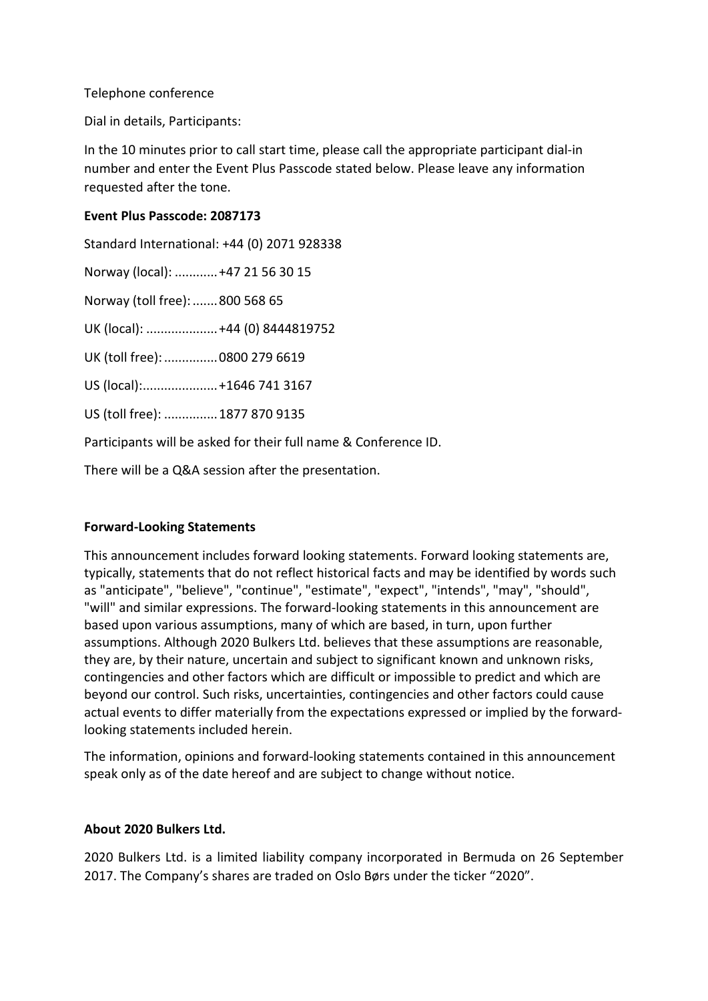#### Telephone conference

Dial in details, Participants:

In the 10 minutes prior to call start time, please call the appropriate participant dial-in number and enter the Event Plus Passcode stated below. Please leave any information requested after the tone.

#### **Event Plus Passcode: 2087173**

Standard International: +44 (0) 2071 928338 Norway (local): ............+47 21 56 30 15 Norway (toll free):.......800 568 65 UK (local): ....................+44 (0) 8444819752 UK (toll free): ................ 0800 279 6619 US (local):.....................+1646 741 3167 US (toll free): ...............1877 870 9135

Participants will be asked for their full name & Conference ID.

There will be a Q&A session after the presentation.

# **Forward-Looking Statements**

This announcement includes forward looking statements. Forward looking statements are, typically, statements that do not reflect historical facts and may be identified by words such as "anticipate", "believe", "continue", "estimate", "expect", "intends", "may", "should", "will" and similar expressions. The forward-looking statements in this announcement are based upon various assumptions, many of which are based, in turn, upon further assumptions. Although 2020 Bulkers Ltd. believes that these assumptions are reasonable, they are, by their nature, uncertain and subject to significant known and unknown risks, contingencies and other factors which are difficult or impossible to predict and which are beyond our control. Such risks, uncertainties, contingencies and other factors could cause actual events to differ materially from the expectations expressed or implied by the forwardlooking statements included herein.

The information, opinions and forward-looking statements contained in this announcement speak only as of the date hereof and are subject to change without notice.

#### **About 2020 Bulkers Ltd.**

2020 Bulkers Ltd. is a limited liability company incorporated in Bermuda on 26 September 2017. The Company's shares are traded on Oslo Børs under the ticker "2020".